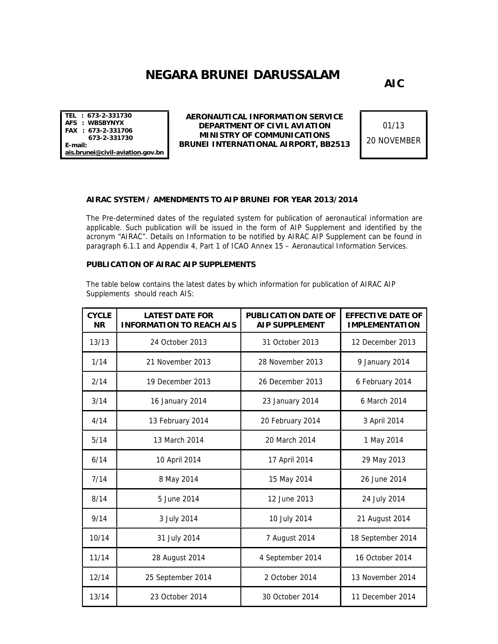## **NEGARA BRUNEI DARUSSALAM**

**AIC**

**TEL : 673-2-331730 AFS : WBSBYNYX FAX : 673-2-331706 673-2-331730 E-mail: ais.brunei@civil-aviation.gov.bn**

**AERONAUTICAL INFORMATION SERVICE DEPARTMENT OF CIVIL AVIATION MINISTRY OF COMMUNICATIONS BRUNEI INTERNATIONAL AIRPORT, BB2513**

01/13 20 NOVEMBER

## **AIRAC SYSTEM / AMENDMENTS TO AIP BRUNEI FOR YEAR 2013/2014**

The Pre-determined dates of the regulated system for publication of aeronautical information are applicable. Such publication will be issued in the form of AIP Supplement and identified by the acronym "AIRAC". Details on Information to be notified by AIRAC AIP Supplement can be found in paragraph 6.1.1 and Appendix 4, Part 1 of ICAO Annex 15 – Aeronautical Information Services.

**PUBLICATION OF AIRAC AIP SUPPLEMENTS**

The table below contains the latest dates by which information for publication of AIRAC AIP Supplements should reach AIS:

| <b>CYCLE</b><br><b>NR</b> | <b>LATEST DATE FOR</b><br><b>INFORMATION TO REACH AIS</b> | PUBLICATION DATE OF<br>AIP SUPPLEMENT | <b>EFFECTIVE DATE OF</b><br><b>IMPLEMENTATION</b> |
|---------------------------|-----------------------------------------------------------|---------------------------------------|---------------------------------------------------|
| 13/13                     | 24 October 2013                                           | 31 October 2013                       | 12 December 2013                                  |
| 1/14                      | 21 November 2013                                          | 28 November 2013                      | 9 January 2014                                    |
| 2/14                      | 19 December 2013                                          | 26 December 2013                      | 6 February 2014                                   |
| 3/14                      | 16 January 2014                                           | 23 January 2014                       | 6 March 2014                                      |
| 4/14                      | 13 February 2014                                          | 20 February 2014                      | 3 April 2014                                      |
| 5/14                      | 13 March 2014                                             | 20 March 2014                         | 1 May 2014                                        |
| 6/14                      | 10 April 2014                                             | 17 April 2014                         | 29 May 2013                                       |
| 7/14                      | 8 May 2014                                                | 15 May 2014                           | 26 June 2014                                      |
| 8/14                      | 5 June 2014                                               | 12 June 2013                          | 24 July 2014                                      |
| 9/14                      | 3 July 2014                                               | 10 July 2014                          | 21 August 2014                                    |
| 10/14                     | 31 July 2014                                              | 7 August 2014                         | 18 September 2014                                 |
| 11/14                     | 28 August 2014                                            | 4 September 2014                      | 16 October 2014                                   |
| 12/14                     | 25 September 2014                                         | 2 October 2014                        | 13 November 2014                                  |
| 13/14                     | 23 October 2014                                           | 30 October 2014                       | 11 December 2014                                  |